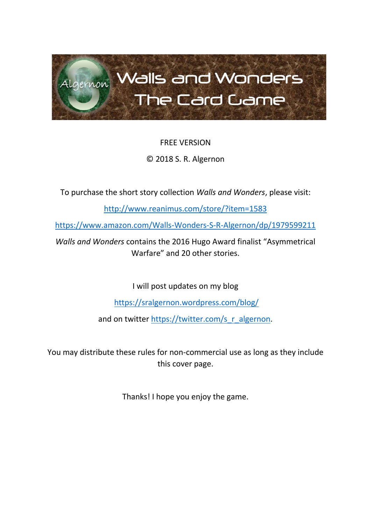

# FREE VERSION

# © 2018 S. R. Algernon

To purchase the short story collection *Walls and Wonders*, please visit:

<http://www.reanimus.com/store/?item=1583>

<https://www.amazon.com/Walls-Wonders-S-R-Algernon/dp/1979599211>

*Walls and Wonders* contains the 2016 Hugo Award finalist "Asymmetrical Warfare" and 20 other stories.

I will post updates on my blog

<https://sralgernon.wordpress.com/blog/>

and on twitter [https://twitter.com/s\\_r\\_algernon.](https://twitter.com/s_r_algernon)

You may distribute these rules for non-commercial use as long as they include this cover page.

Thanks! I hope you enjoy the game.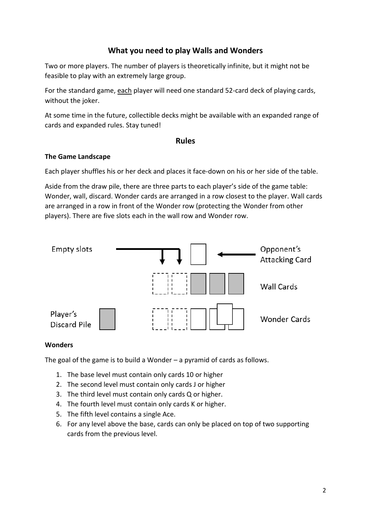# **What you need to play Walls and Wonders**

Two or more players. The number of players is theoretically infinite, but it might not be feasible to play with an extremely large group.

For the standard game, each player will need one standard 52-card deck of playing cards, without the joker.

At some time in the future, collectible decks might be available with an expanded range of cards and expanded rules. Stay tuned!

## **Rules**

#### **The Game Landscape**

Each player shuffles his or her deck and places it face-down on his or her side of the table.

Aside from the draw pile, there are three parts to each player's side of the game table: Wonder, wall, discard. Wonder cards are arranged in a row closest to the player. Wall cards are arranged in a row in front of the Wonder row (protecting the Wonder from other players). There are five slots each in the wall row and Wonder row.



#### **Wonders**

The goal of the game is to build a Wonder – a pyramid of cards as follows.

- 1. The base level must contain only cards 10 or higher
- 2. The second level must contain only cards J or higher
- 3. The third level must contain only cards Q or higher.
- 4. The fourth level must contain only cards K or higher.
- 5. The fifth level contains a single Ace.
- 6. For any level above the base, cards can only be placed on top of two supporting cards from the previous level.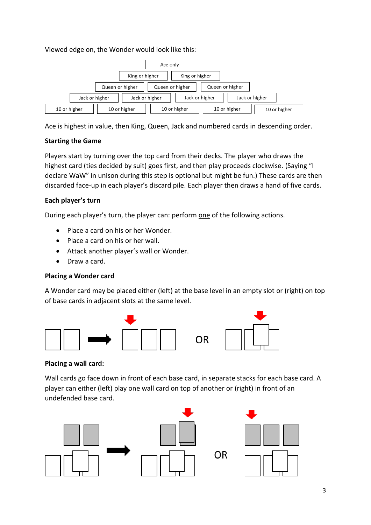## Viewed edge on, the Wonder would look like this:



Ace is highest in value, then King, Queen, Jack and numbered cards in descending order.

## **Starting the Game**

Players start by turning over the top card from their decks. The player who draws the highest card (ties decided by suit) goes first, and then play proceeds clockwise. (Saying "I declare WaW" in unison during this step is optional but might be fun.) These cards are then discarded face-up in each player's discard pile. Each player then draws a hand of five cards.

## **Each player's turn**

During each player's turn, the player can: perform one of the following actions.

- Place a card on his or her Wonder.
- Place a card on his or her wall.
- Attack another player's wall or Wonder.
- Draw a card.

## **Placing a Wonder card**

A Wonder card may be placed either (left) at the base level in an empty slot or (right) on top of base cards in adjacent slots at the same level.



## **Placing a wall card:**

Wall cards go face down in front of each base card, in separate stacks for each base card. A player can either (left) play one wall card on top of another or (right) in front of an undefended base card.

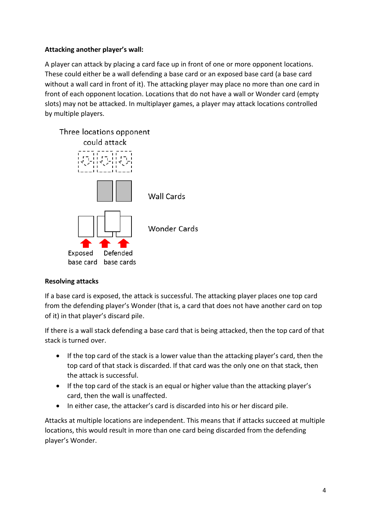## **Attacking another player's wall:**

A player can attack by placing a card face up in front of one or more opponent locations. These could either be a wall defending a base card or an exposed base card (a base card without a wall card in front of it). The attacking player may place no more than one card in front of each opponent location. Locations that do not have a wall or Wonder card (empty slots) may not be attacked. In multiplayer games, a player may attack locations controlled by multiple players.



## **Resolving attacks**

If a base card is exposed, the attack is successful. The attacking player places one top card from the defending player's Wonder (that is, a card that does not have another card on top of it) in that player's discard pile.

If there is a wall stack defending a base card that is being attacked, then the top card of that stack is turned over.

- If the top card of the stack is a lower value than the attacking player's card, then the top card of that stack is discarded. If that card was the only one on that stack, then the attack is successful.
- If the top card of the stack is an equal or higher value than the attacking player's card, then the wall is unaffected.
- In either case, the attacker's card is discarded into his or her discard pile.

Attacks at multiple locations are independent. This means that if attacks succeed at multiple locations, this would result in more than one card being discarded from the defending player's Wonder.